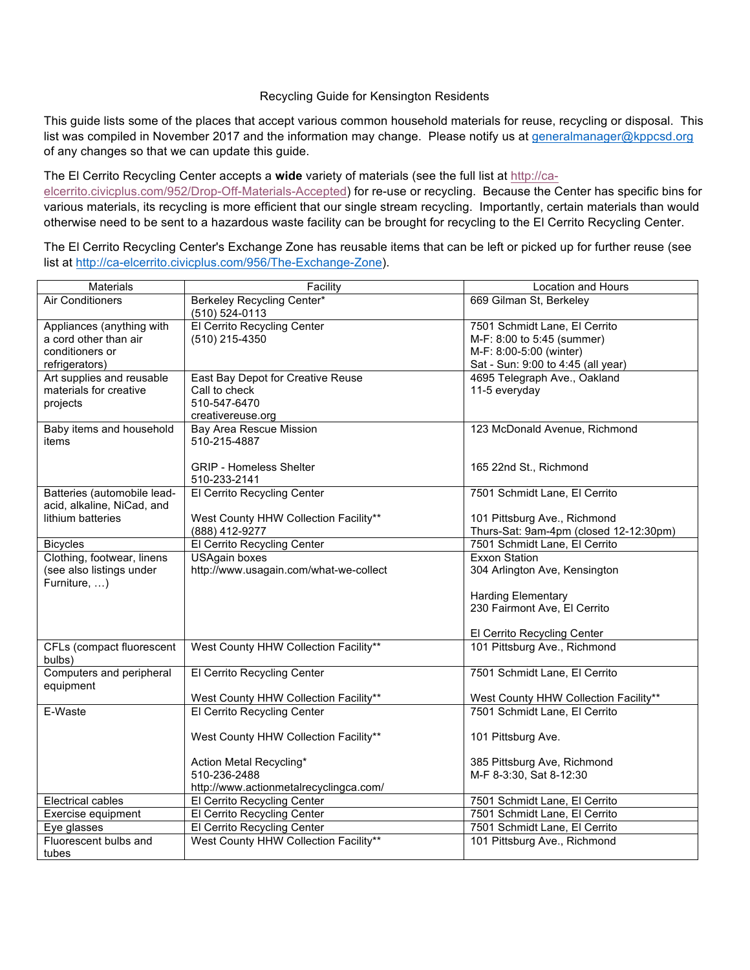## Recycling Guide for Kensington Residents

This guide lists some of the places that accept various common household materials for reuse, recycling or disposal. This list was compiled in November 2017 and the information may change. Please notify us at [generalmanager@kppcsd.org](mailto:generalmanager@kppcsd.org) of any changes so that we can update this guide.

## The El Cerrito Recycling Center accepts a **wide** variety of materials (see the full list at [http://ca-](http://ca-elcerrito.civicplus.com/952/Drop-Off-Materials-Accepted)

[elcerrito.civicplus.com/952/Drop-Off-Materials-Accepted](http://ca-elcerrito.civicplus.com/952/Drop-Off-Materials-Accepted)) for re-use or recycling. Because the Center has specific bins for various materials, its recycling is more efficient that our single stream recycling. Importantly, certain materials than would otherwise need to be sent to a hazardous waste facility can be brought for recycling to the El Cerrito Recycling Center.

The El Cerrito Recycling Center's Exchange Zone has reusable items that can be left or picked up for further reuse (see list at <http://ca-elcerrito.civicplus.com/956/The-Exchange-Zone>).

| Materials                                                 | Facility                                         | Location and Hours                     |
|-----------------------------------------------------------|--------------------------------------------------|----------------------------------------|
| <b>Air Conditioners</b>                                   | Berkeley Recycling Center*<br>$(510) 524 - 0113$ | 669 Gilman St, Berkeley                |
| Appliances (anything with                                 | El Cerrito Recycling Center                      | 7501 Schmidt Lane, El Cerrito          |
| a cord other than air                                     | (510) 215-4350                                   | M-F: 8:00 to 5:45 (summer)             |
| conditioners or                                           |                                                  | M-F: 8:00-5:00 (winter)                |
| refrigerators)                                            |                                                  | Sat - Sun: 9:00 to 4:45 (all year)     |
| Art supplies and reusable                                 | East Bay Depot for Creative Reuse                | 4695 Telegraph Ave., Oakland           |
| materials for creative                                    | Call to check                                    | 11-5 everyday                          |
| projects                                                  | 510-547-6470                                     |                                        |
|                                                           | creativereuse.org                                |                                        |
| Baby items and household                                  | <b>Bay Area Rescue Mission</b>                   | 123 McDonald Avenue, Richmond          |
| items                                                     | 510-215-4887                                     |                                        |
|                                                           |                                                  |                                        |
|                                                           | <b>GRIP - Homeless Shelter</b>                   | 165 22nd St., Richmond                 |
|                                                           | 510-233-2141                                     |                                        |
| Batteries (automobile lead-<br>acid, alkaline, NiCad, and | El Cerrito Recycling Center                      | 7501 Schmidt Lane, El Cerrito          |
| lithium batteries                                         | West County HHW Collection Facility**            | 101 Pittsburg Ave., Richmond           |
|                                                           | (888) 412-9277                                   | Thurs-Sat: 9am-4pm (closed 12-12:30pm) |
| <b>Bicycles</b>                                           | El Cerrito Recycling Center                      | 7501 Schmidt Lane, El Cerrito          |
| Clothing, footwear, linens                                | <b>USAgain boxes</b>                             | <b>Exxon Station</b>                   |
| (see also listings under                                  | http://www.usagain.com/what-we-collect           | 304 Arlington Ave, Kensington          |
| Furniture, )                                              |                                                  |                                        |
|                                                           |                                                  | <b>Harding Elementary</b>              |
|                                                           |                                                  | 230 Fairmont Ave, El Cerrito           |
|                                                           |                                                  |                                        |
|                                                           |                                                  | El Cerrito Recycling Center            |
| CFLs (compact fluorescent                                 | West County HHW Collection Facility**            | 101 Pittsburg Ave., Richmond           |
| bulbs)                                                    |                                                  |                                        |
| Computers and peripheral                                  | El Cerrito Recycling Center                      | 7501 Schmidt Lane, El Cerrito          |
| equipment                                                 |                                                  |                                        |
|                                                           | West County HHW Collection Facility**            | West County HHW Collection Facility**  |
| E-Waste                                                   | El Cerrito Recycling Center                      | 7501 Schmidt Lane, El Cerrito          |
|                                                           |                                                  |                                        |
|                                                           | West County HHW Collection Facility**            | 101 Pittsburg Ave.                     |
|                                                           | Action Metal Recycling*                          | 385 Pittsburg Ave, Richmond            |
|                                                           | 510-236-2488                                     | M-F 8-3:30, Sat 8-12:30                |
|                                                           | http://www.actionmetalrecyclingca.com/           |                                        |
| Electrical cables                                         | El Cerrito Recycling Center                      | 7501 Schmidt Lane, El Cerrito          |
| Exercise equipment                                        | El Cerrito Recycling Center                      | 7501 Schmidt Lane, El Cerrito          |
| Eye glasses                                               | El Cerrito Recycling Center                      | 7501 Schmidt Lane, El Cerrito          |
| Fluorescent bulbs and                                     | West County HHW Collection Facility**            | 101 Pittsburg Ave., Richmond           |
| tubes                                                     |                                                  |                                        |